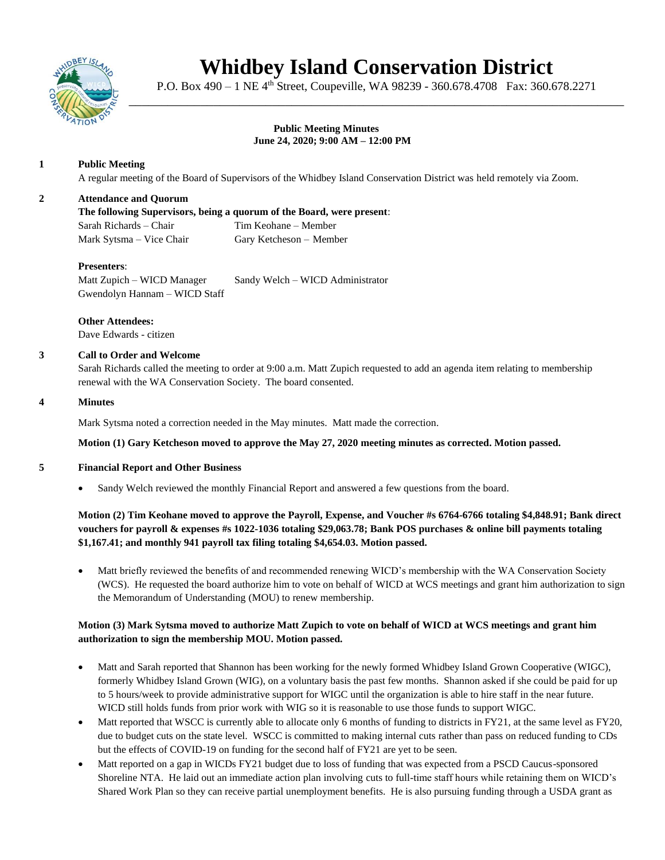

# **Whidbey Island Conservation District**

P.O. Box 490 – 1 NE 4<sup>th</sup> Street, Coupeville, WA 98239 - 360.678.4708 Fax: 360.678.2271 \_\_\_\_\_\_\_\_\_\_\_\_\_\_\_\_\_\_\_\_\_\_\_\_\_\_\_\_\_\_\_\_\_\_\_\_\_\_\_\_\_\_\_\_\_\_\_\_\_\_\_\_\_\_\_\_\_\_\_\_\_\_\_\_\_\_\_\_\_\_\_\_\_\_\_\_

#### **Public Meeting Minutes June 24, 2020; 9:00 AM – 12:00 PM**

## **1 Public Meeting**

A regular meeting of the Board of Supervisors of the Whidbey Island Conservation District was held remotely via Zoom.

## **2 Attendance and Quorum**

**The following Supervisors, being a quorum of the Board, were present**: Sarah Richards – Chair Tim Keohane – Member Mark Sytsma – Vice Chair Gary Ketcheson – Member

## **Presenters**:

Matt Zupich – WICD Manager Sandy Welch – WICD Administrator Gwendolyn Hannam – WICD Staff

**Other Attendees:** Dave Edwards - citizen

## **3 Call to Order and Welcome**

Sarah Richards called the meeting to order at 9:00 a.m. Matt Zupich requested to add an agenda item relating to membership renewal with the WA Conservation Society. The board consented.

#### **4 Minutes**

Mark Sytsma noted a correction needed in the May minutes. Matt made the correction.

#### **Motion (1) Gary Ketcheson moved to approve the May 27, 2020 meeting minutes as corrected. Motion passed.**

#### **5 Financial Report and Other Business**

• Sandy Welch reviewed the monthly Financial Report and answered a few questions from the board.

## **Motion (2) Tim Keohane moved to approve the Payroll, Expense, and Voucher #s 6764-6766 totaling \$4,848.91; Bank direct vouchers for payroll & expenses #s 1022-1036 totaling \$29,063.78; Bank POS purchases & online bill payments totaling \$1,167.41; and monthly 941 payroll tax filing totaling \$4,654.03. Motion passed.**

• Matt briefly reviewed the benefits of and recommended renewing WICD's membership with the WA Conservation Society (WCS). He requested the board authorize him to vote on behalf of WICD at WCS meetings and grant him authorization to sign the Memorandum of Understanding (MOU) to renew membership.

## **Motion (3) Mark Sytsma moved to authorize Matt Zupich to vote on behalf of WICD at WCS meetings and grant him authorization to sign the membership MOU. Motion passed.**

- Matt and Sarah reported that Shannon has been working for the newly formed Whidbey Island Grown Cooperative (WIGC), formerly Whidbey Island Grown (WIG), on a voluntary basis the past few months. Shannon asked if she could be paid for up to 5 hours/week to provide administrative support for WIGC until the organization is able to hire staff in the near future. WICD still holds funds from prior work with WIG so it is reasonable to use those funds to support WIGC.
- Matt reported that WSCC is currently able to allocate only 6 months of funding to districts in FY21, at the same level as FY20, due to budget cuts on the state level. WSCC is committed to making internal cuts rather than pass on reduced funding to CDs but the effects of COVID-19 on funding for the second half of FY21 are yet to be seen.
- Matt reported on a gap in WICDs FY21 budget due to loss of funding that was expected from a PSCD Caucus-sponsored Shoreline NTA. He laid out an immediate action plan involving cuts to full-time staff hours while retaining them on WICD's Shared Work Plan so they can receive partial unemployment benefits. He is also pursuing funding through a USDA grant as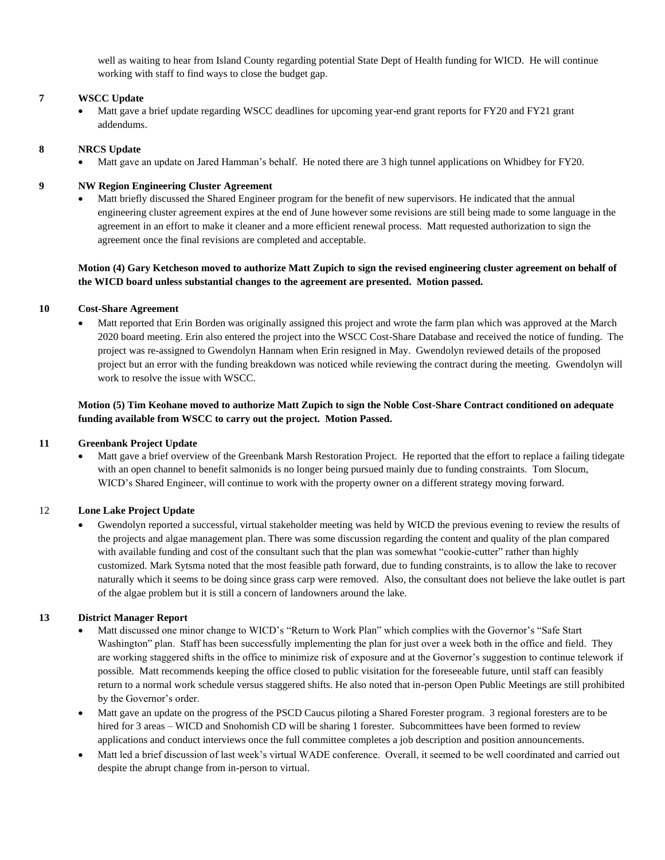well as waiting to hear from Island County regarding potential State Dept of Health funding for WICD. He will continue working with staff to find ways to close the budget gap.

#### **7 WSCC Update**

• Matt gave a brief update regarding WSCC deadlines for upcoming year-end grant reports for FY20 and FY21 grant addendums.

#### **8 NRCS Update**

• Matt gave an update on Jared Hamman's behalf. He noted there are 3 high tunnel applications on Whidbey for FY20.

#### **9 NW Region Engineering Cluster Agreement**

• Matt briefly discussed the Shared Engineer program for the benefit of new supervisors. He indicated that the annual engineering cluster agreement expires at the end of June however some revisions are still being made to some language in the agreement in an effort to make it cleaner and a more efficient renewal process. Matt requested authorization to sign the agreement once the final revisions are completed and acceptable.

## **Motion (4) Gary Ketcheson moved to authorize Matt Zupich to sign the revised engineering cluster agreement on behalf of the WICD board unless substantial changes to the agreement are presented. Motion passed.**

#### **10 Cost-Share Agreement**

• Matt reported that Erin Borden was originally assigned this project and wrote the farm plan which was approved at the March 2020 board meeting. Erin also entered the project into the WSCC Cost-Share Database and received the notice of funding. The project was re-assigned to Gwendolyn Hannam when Erin resigned in May. Gwendolyn reviewed details of the proposed project but an error with the funding breakdown was noticed while reviewing the contract during the meeting. Gwendolyn will work to resolve the issue with WSCC.

## **Motion (5) Tim Keohane moved to authorize Matt Zupich to sign the Noble Cost-Share Contract conditioned on adequate funding available from WSCC to carry out the project. Motion Passed.**

#### **11 Greenbank Project Update**

• Matt gave a brief overview of the Greenbank Marsh Restoration Project. He reported that the effort to replace a failing tidegate with an open channel to benefit salmonids is no longer being pursued mainly due to funding constraints. Tom Slocum, WICD's Shared Engineer, will continue to work with the property owner on a different strategy moving forward.

#### 12 **Lone Lake Project Update**

• Gwendolyn reported a successful, virtual stakeholder meeting was held by WICD the previous evening to review the results of the projects and algae management plan. There was some discussion regarding the content and quality of the plan compared with available funding and cost of the consultant such that the plan was somewhat "cookie-cutter" rather than highly customized. Mark Sytsma noted that the most feasible path forward, due to funding constraints, is to allow the lake to recover naturally which it seems to be doing since grass carp were removed. Also, the consultant does not believe the lake outlet is part of the algae problem but it is still a concern of landowners around the lake.

#### **13 District Manager Report**

- Matt discussed one minor change to WICD's "Return to Work Plan" which complies with the Governor's "Safe Start Washington" plan. Staff has been successfully implementing the plan for just over a week both in the office and field. They are working staggered shifts in the office to minimize risk of exposure and at the Governor's suggestion to continue telework if possible. Matt recommends keeping the office closed to public visitation for the foreseeable future, until staff can feasibly return to a normal work schedule versus staggered shifts. He also noted that in-person Open Public Meetings are still prohibited by the Governor's order.
- Matt gave an update on the progress of the PSCD Caucus piloting a Shared Forester program. 3 regional foresters are to be hired for 3 areas – WICD and Snohomish CD will be sharing 1 forester. Subcommittees have been formed to review applications and conduct interviews once the full committee completes a job description and position announcements.
- Matt led a brief discussion of last week's virtual WADE conference. Overall, it seemed to be well coordinated and carried out despite the abrupt change from in-person to virtual.